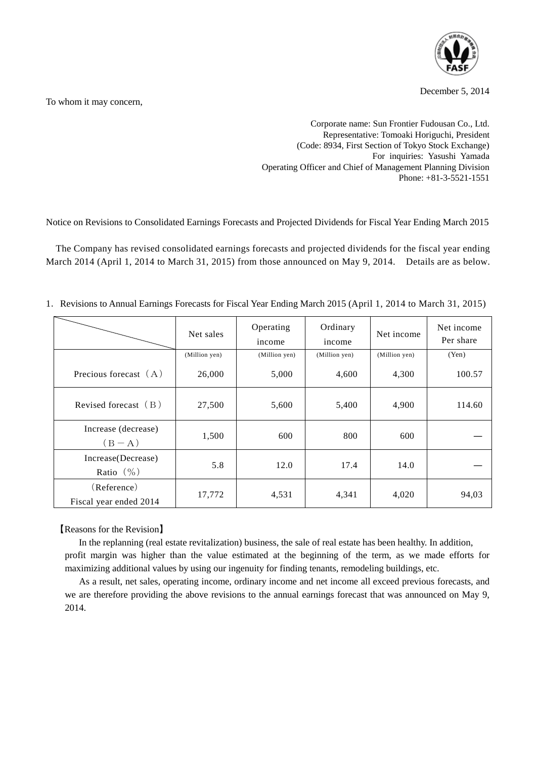

December 5, 2014

To whom it may concern,

Corporate name: Sun Frontier Fudousan Co., Ltd. Representative: Tomoaki Horiguchi, President (Code: 8934, First Section of Tokyo Stock Exchange) For inquiries: Yasushi Yamada Operating Officer and Chief of Management Planning Division Phone: +81-3-5521-1551

Notice on Revisions to Consolidated Earnings Forecasts and Projected Dividends for Fiscal Year Ending March 2015

The Company has revised consolidated earnings forecasts and projected dividends for the fiscal year ending March 2014 (April 1, 2014 to March 31, 2015) from those announced on May 9, 2014. Details are as below.

|  | 1. Revisions to Annual Earnings Forecasts for Fiscal Year Ending March 2015 (April 1, 2014 to March 31, 2015) |  |  |  |  |
|--|---------------------------------------------------------------------------------------------------------------|--|--|--|--|
|--|---------------------------------------------------------------------------------------------------------------|--|--|--|--|

|                                       | Net sales     | Operating<br>income | Ordinary<br>income | Net income    | Net income<br>Per share |
|---------------------------------------|---------------|---------------------|--------------------|---------------|-------------------------|
|                                       | (Million yen) | (Million yen)       | (Million yen)      | (Million yen) | (Yen)                   |
| Precious forecast $(A)$               | 26,000        | 5,000               | 4,600              | 4,300         | 100.57                  |
| Revised forecast $(B)$                | 27,500        | 5,600               | 5,400              | 4,900         | 114.60                  |
| Increase (decrease)<br>$(B-A)$        | 1,500         | 600                 | 800                | 600           |                         |
| Increase (Decrease)<br>Ratio $(\% )$  | 5.8           | 12.0                | 17.4               | 14.0          |                         |
| (Reference)<br>Fiscal year ended 2014 | 17,772        | 4,531               | 4,341              | 4,020         | 94,03                   |

【Reasons for the Revision】

In the replanning (real estate revitalization) business, the sale of real estate has been healthy. In addition, profit margin was higher than the value estimated at the beginning of the term, as we made efforts for maximizing additional values by using our ingenuity for finding tenants, remodeling buildings, etc.

 As a result, net sales, operating income, ordinary income and net income all exceed previous forecasts, and we are therefore providing the above revisions to the annual earnings forecast that was announced on May 9, 2014.